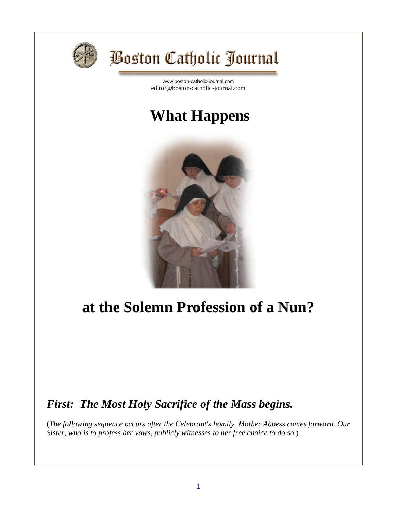

# **Boston Catholic Journal**

[www.boston-catholic-journal.com](http://www.boston-catholic-journal.com/) editor@boston-catholic-journal.com

# **What Happens**



# **at the Solemn Profession of a Nun?**

# *First: The Most Holy Sacrifice of the Mass begins.*

(*The following sequence occurs after the Celebrant's homily. Mother Abbess comes forward. Our Sister, who is to profess her vows, publicly witnesses to her free choice to do so.*)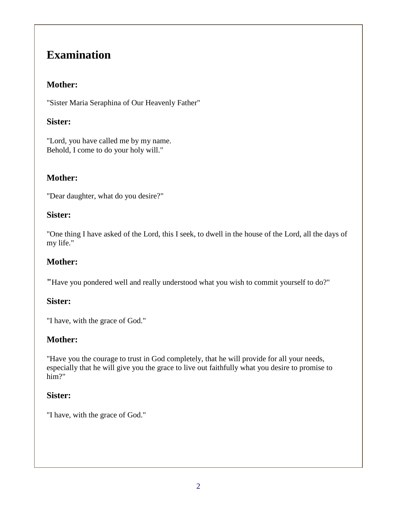# **Examination**

#### **Mother:**

"Sister Maria Seraphina of Our Heavenly Father"

## **Sister:**

"Lord, you have called me by my name. Behold, I come to do your holy will."

# **Mother:**

"Dear daughter, what do you desire?"

#### **Sister:**

"One thing I have asked of the Lord, this I seek, to dwell in the house of the Lord, all the days of my life."

# **Mother:**

**"**Have you pondered well and really understood what you wish to commit yourself to do?"

## **Sister:**

"I have, with the grace of God."

## **Mother:**

"Have you the courage to trust in God completely, that he will provide for all your needs, especially that he will give you the grace to live out faithfully what you desire to promise to him?"

## **Sister:**

"I have, with the grace of God."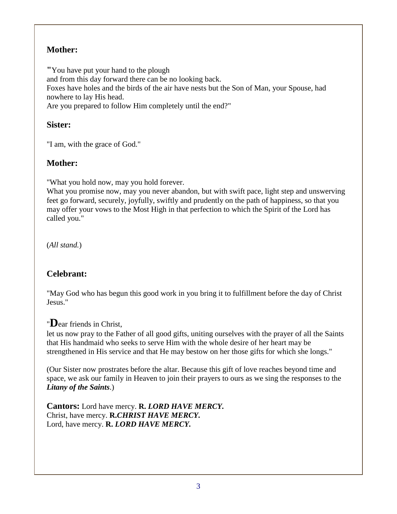## **Mother:**

**"**You have put your hand to the plough and from this day forward there can be no looking back. Foxes have holes and the birds of the air have nests but the Son of Man, your Spouse, had nowhere to lay His head. Are you prepared to follow Him completely until the end?"

#### **Sister:**

"I am, with the grace of God."

## **Mother:**

"What you hold now, may you hold forever.

What you promise now, may you never abandon, but with swift pace, light step and unswerving feet go forward, securely, joyfully, swiftly and prudently on the path of happiness, so that you may offer your vows to the Most High in that perfection to which the Spirit of the Lord has called you."

(*All stand.*)

# **Celebrant:**

"May God who has begun this good work in you bring it to fulfillment before the day of Christ Jesus."

# "**D**ear friends in Christ,

let us now pray to the Father of all good gifts, uniting ourselves with the prayer of all the Saints that His handmaid who seeks to serve Him with the whole desire of her heart may be strengthened in His service and that He may bestow on her those gifts for which she longs."

(Our Sister now prostrates before the altar. Because this gift of love reaches beyond time and space, we ask our family in Heaven to join their prayers to ours as we sing the responses to the *Litany of the Saints*.)

**Cantors:** Lord have mercy. **R.** *LORD HAVE MERCY.* Christ, have mercy. **R.***CHRIST HAVE MERCY.* Lord, have mercy. **R.** *LORD HAVE MERCY.*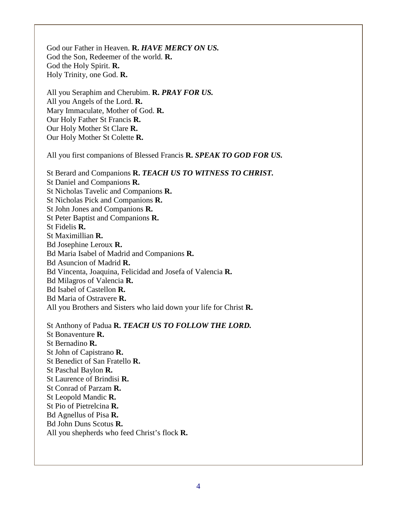God our Father in Heaven. **R.** *HAVE MERCY ON US.* God the Son, Redeemer of the world. **R.** God the Holy Spirit. **R.** Holy Trinity, one God. **R.**

All you Seraphim and Cherubim. **R.** *PRAY FOR US.* All you Angels of the Lord. **R.** Mary Immaculate, Mother of God. **R.** Our Holy Father St Francis **R.** Our Holy Mother St Clare **R.** Our Holy Mother St Colette **R.**

All you first companions of Blessed Francis **R.** *SPEAK TO GOD FOR US.*

St Berard and Companions **R.** *TEACH US TO WITNESS TO CHRIST.* St Daniel and Companions **R.** St Nicholas Tavelic and Companions **R.** St Nicholas Pick and Companions **R.** St John Jones and Companions **R.** St Peter Baptist and Companions **R.** St Fidelis **R.** St Maximillian **R.** Bd Josephine Leroux **R.** Bd Maria Isabel of Madrid and Companions **R.** Bd Asuncion of Madrid **R.** Bd Vincenta, Joaquina, Felicidad and Josefa of Valencia **R.** Bd Milagros of Valencia **R.** Bd Isabel of Castellon **R.** Bd Maria of Ostravere **R.** All you Brothers and Sisters who laid down your life for Christ **R.**

St Anthony of Padua **R.** *TEACH US TO FOLLOW THE LORD.* St Bonaventure **R.** St Bernadino **R.** St John of Capistrano **R.** St Benedict of San Fratello **R.** St Paschal Baylon **R.** St Laurence of Brindisi **R.** St Conrad of Parzam **R.** St Leopold Mandic **R.** St Pio of Pietrelcina **R.** Bd Agnellus of Pisa **R.** Bd John Duns Scotus **R.** All you shepherds who feed Christ's flock **R.**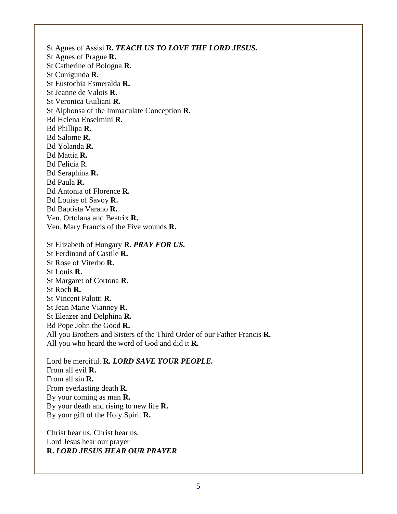St Agnes of Assisi **R.** *TEACH US TO LOVE THE LORD JESUS.* St Agnes of Prague **R.** St Catherine of Bologna **R.** St Cunigunda **R.** St Eustochia Esmeralda **R.** St Jeanne de Valois **R.** St Veronica Guiliani **R.** St Alphonsa of the Immaculate Conception **R.** Bd Helena Enselmini **R.** Bd Phillipa **R.** Bd Salome **R.** Bd Yolanda **R.** Bd Mattia **R.** Bd Felicia R. Bd Seraphina **R.** Bd Paula **R.** Bd Antonia of Florence **R.** Bd Louise of Savoy **R.** Bd Baptista Varano **R.** Ven. Ortolana and Beatrix **R.** Ven. Mary Francis of the Five wounds **R.** St Elizabeth of Hungary **R.** *PRAY FOR US.* St Ferdinand of Castile **R.** St Rose of Viterbo **R.** St Louis **R.** St Margaret of Cortona **R.** St Roch **R.** St Vincent Palotti **R.** St Jean Marie Vianney **R.** St Eleazer and Delphina **R.** Bd Pope John the Good **R.** All you Brothers and Sisters of the Third Order of our Father Francis **R.**

Lord be merciful. **R.** *LORD SAVE YOUR PEOPLE.* From all evil **R.** From all sin **R.** From everlasting death **R.** By your coming as man **R.** By your death and rising to new life **R.** By your gift of the Holy Spirit **R.**

All you who heard the word of God and did it **R.**

Christ hear us, Christ hear us. Lord Jesus hear our prayer **R.** *LORD JESUS HEAR OUR PRAYER*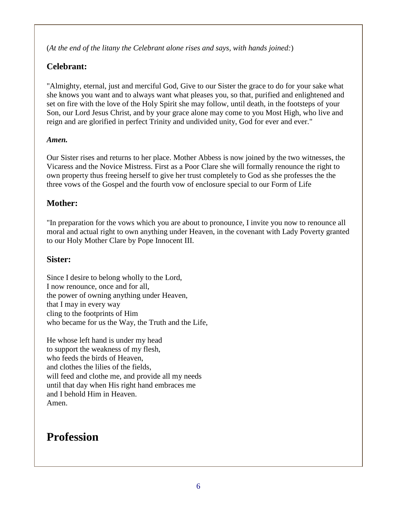(*At the end of the litany the Celebrant alone rises and says, with hands joined:*)

## **Celebrant:**

"Almighty, eternal, just and merciful God, Give to our Sister the grace to do for your sake what she knows you want and to always want what pleases you, so that, purified and enlightened and set on fire with the love of the Holy Spirit she may follow, until death, in the footsteps of your Son, our Lord Jesus Christ, and by your grace alone may come to you Most High, who live and reign and are glorified in perfect Trinity and undivided unity, God for ever and ever."

#### *Amen.*

Our Sister rises and returns to her place. Mother Abbess is now joined by the two witnesses, the Vicaress and the Novice Mistress. First as a Poor Clare she will formally renounce the right to own property thus freeing herself to give her trust completely to God as she professes the the three vows of the Gospel and the fourth vow of enclosure special to our Form of Life

## **Mother:**

"In preparation for the vows which you are about to pronounce, I invite you now to renounce all moral and actual right to own anything under Heaven, in the covenant with Lady Poverty granted to our Holy Mother Clare by Pope Innocent III.

#### **Sister:**

Since I desire to belong wholly to the Lord, I now renounce, once and for all, the power of owning anything under Heaven, that I may in every way cling to the footprints of Him who became for us the Way, the Truth and the Life,

He whose left hand is under my head to support the weakness of my flesh, who feeds the birds of Heaven. and clothes the lilies of the fields, will feed and clothe me, and provide all my needs until that day when His right hand embraces me and I behold Him in Heaven. Amen.

# **Profession**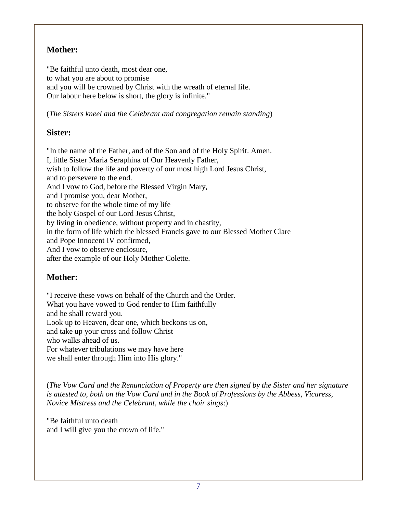## **Mother:**

"Be faithful unto death, most dear one, to what you are about to promise and you will be crowned by Christ with the wreath of eternal life. Our labour here below is short, the glory is infinite."

(*The Sisters kneel and the Celebrant and congregation remain standing*)

# **Sister:**

"In the name of the Father, and of the Son and of the Holy Spirit. Amen. I, little Sister Maria Seraphina of Our Heavenly Father, wish to follow the life and poverty of our most high Lord Jesus Christ, and to persevere to the end. And I vow to God, before the Blessed Virgin Mary, and I promise you, dear Mother, to observe for the whole time of my life the holy Gospel of our Lord Jesus Christ, by living in obedience, without property and in chastity, in the form of life which the blessed Francis gave to our Blessed Mother Clare and Pope Innocent IV confirmed, And I vow to observe enclosure, after the example of our Holy Mother Colette.

# **Mother:**

"I receive these vows on behalf of the Church and the Order. What you have vowed to God render to Him faithfully and he shall reward you. Look up to Heaven, dear one, which beckons us on, and take up your cross and follow Christ who walks ahead of us. For whatever tribulations we may have here we shall enter through Him into His glory."

(*The Vow Card and the Renunciation of Property are then signed by the Sister and her signature is attested to, both on the Vow Card and in the Book of Professions by the Abbess, Vicaress, Novice Mistress and the Celebrant, while the choir sings*:)

"Be faithful unto death and I will give you the crown of life."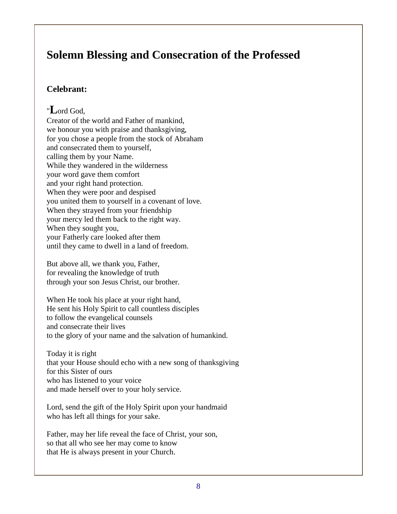# **Solemn Blessing and Consecration of the Professed**

## **Celebrant:**

# "**L**ord God,

Creator of the world and Father of mankind, we honour you with praise and thanksgiving, for you chose a people from the stock of Abraham and consecrated them to yourself, calling them by your Name. While they wandered in the wilderness your word gave them comfort and your right hand protection. When they were poor and despised you united them to yourself in a covenant of love. When they strayed from your friendship your mercy led them back to the right way. When they sought you, your Fatherly care looked after them until they came to dwell in a land of freedom.

But above all, we thank you, Father, for revealing the knowledge of truth through your son Jesus Christ, our brother.

When He took his place at your right hand, He sent his Holy Spirit to call countless disciples to follow the evangelical counsels and consecrate their lives to the glory of your name and the salvation of humankind.

Today it is right that your House should echo with a new song of thanksgiving for this Sister of ours who has listened to your voice and made herself over to your holy service.

Lord, send the gift of the Holy Spirit upon your handmaid who has left all things for your sake.

Father, may her life reveal the face of Christ, your son, so that all who see her may come to know that He is always present in your Church.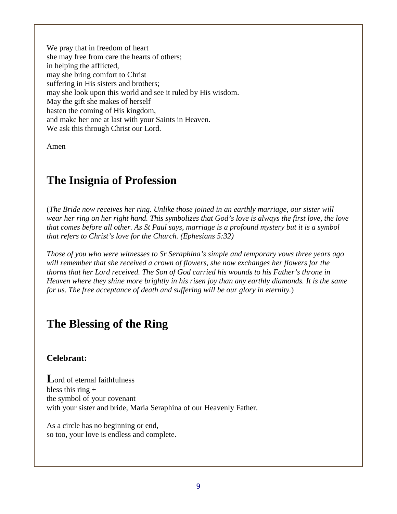We pray that in freedom of heart she may free from care the hearts of others; in helping the afflicted, may she bring comfort to Christ suffering in His sisters and brothers; may she look upon this world and see it ruled by His wisdom. May the gift she makes of herself hasten the coming of His kingdom, and make her one at last with your Saints in Heaven. We ask this through Christ our Lord.

Amen

# **The Insignia of Profession**

(*The Bride now receives her ring. Unlike those joined in an earthly marriage, our sister will wear her ring on her right hand. This symbolizes that God's love is always the first love, the love that comes before all other. As St Paul says, marriage is a profound mystery but it is a symbol that refers to Christ's love for the Church. (Ephesians 5:32)*

*Those of you who were witnesses to Sr Seraphina's simple and temporary vows three years ago will remember that she received a crown of flowers, she now exchanges her flowers for the thorns that her Lord received. The Son of God carried his wounds to his Father's throne in Heaven where they shine more brightly in his risen joy than any earthly diamonds. It is the same for us. The free acceptance of death and suffering will be our glory in eternity.*)

# **The Blessing of the Ring**

#### **Celebrant:**

**L**ord of eternal faithfulness bless this ring  $+$ the symbol of your covenant with your sister and bride, Maria Seraphina of our Heavenly Father.

As a circle has no beginning or end, so too, your love is endless and complete.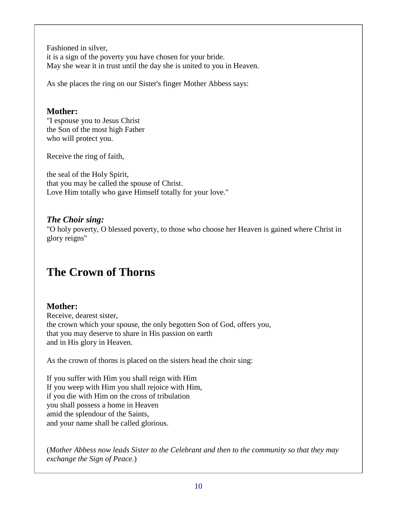Fashioned in silver, it is a sign of the poverty you have chosen for your bride. May she wear it in trust until the day she is united to you in Heaven.

As she places the ring on our Sister's finger Mother Abbess says:

#### **Mother:**

"I espouse you to Jesus Christ the Son of the most high Father who will protect you.

Receive the ring of faith,

the seal of the Holy Spirit, that you may be called the spouse of Christ. Love Him totally who gave Himself totally for your love."

#### *The Choir sing:*

"O holy poverty, O blessed poverty, to those who choose her Heaven is gained where Christ in glory reigns"

# **The Crown of Thorns**

# **Mother:**

Receive, dearest sister, the crown which your spouse, the only begotten Son of God, offers you, that you may deserve to share in His passion on earth and in His glory in Heaven.

As the crown of thorns is placed on the sisters head the choir sing:

If you suffer with Him you shall reign with Him If you weep with Him you shall rejoice with Him, if you die with Him on the cross of tribulation you shall possess a home in Heaven amid the splendour of the Saints, and your name shall be called glorious.

(*Mother Abbess now leads Sister to the Celebrant and then to the community so that they may exchange the Sign of Peace.*)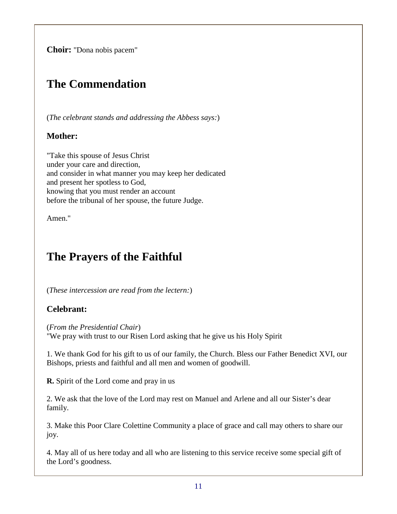**Choir:** "Dona nobis pacem"

# **The Commendation**

(*The celebrant stands and addressing the Abbess says:*)

#### **Mother:**

"Take this spouse of Jesus Christ under your care and direction, and consider in what manner you may keep her dedicated and present her spotless to God, knowing that you must render an account before the tribunal of her spouse, the future Judge.

Amen."

# **The Prayers of the Faithful**

(*These intercession are read from the lectern:*)

## **Celebrant:**

(*From the Presidential Chair*) "We pray with trust to our Risen Lord asking that he give us his Holy Spirit

1. We thank God for his gift to us of our family, the Church. Bless our Father Benedict XVI, our Bishops, priests and faithful and all men and women of goodwill.

**R.** Spirit of the Lord come and pray in us

2. We ask that the love of the Lord may rest on Manuel and Arlene and all our Sister's dear family.

3. Make this Poor Clare Colettine Community a place of grace and call may others to share our joy.

4. May all of us here today and all who are listening to this service receive some special gift of the Lord's goodness.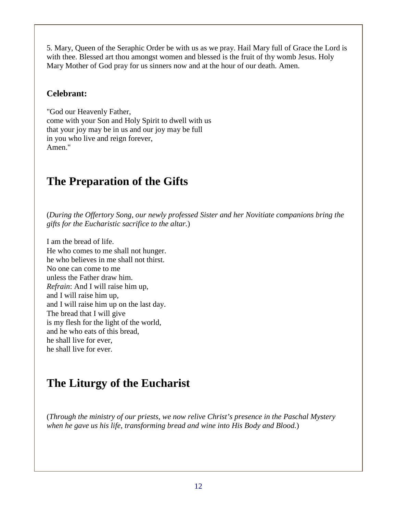5. Mary, Queen of the Seraphic Order be with us as we pray. Hail Mary full of Grace the Lord is with thee. Blessed art thou amongst women and blessed is the fruit of thy womb Jesus. Holy Mary Mother of God pray for us sinners now and at the hour of our death. Amen.

#### **Celebrant:**

"God our Heavenly Father, come with your Son and Holy Spirit to dwell with us that your joy may be in us and our joy may be full in you who live and reign forever, Amen."

# **The Preparation of the Gifts**

(*During the Offertory Song, our newly professed Sister and her Novitiate companions bring the gifts for the Eucharistic sacrifice to the altar.*)

I am the bread of life. He who comes to me shall not hunger. he who believes in me shall not thirst. No one can come to me unless the Father draw him. *Refrain*: And I will raise him up, and I will raise him up, and I will raise him up on the last day. The bread that I will give is my flesh for the light of the world, and he who eats of this bread, he shall live for ever, he shall live for ever.

# **The Liturgy of the Eucharist**

(*Through the ministry of our priests, we now relive Christ's presence in the Paschal Mystery when he gave us his life, transforming bread and wine into His Body and Blood.*)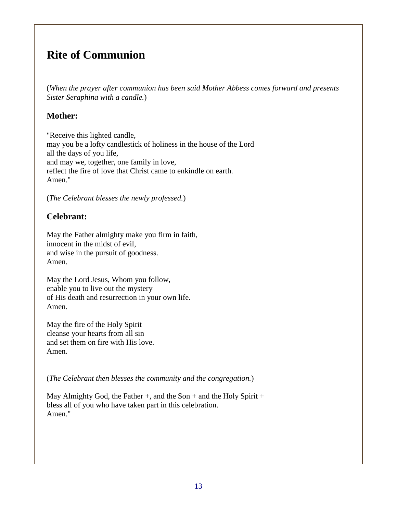# **Rite of Communion**

(*When the prayer after communion has been said Mother Abbess comes forward and presents Sister Seraphina with a candle.*)

#### **Mother:**

"Receive this lighted candle, may you be a lofty candlestick of holiness in the house of the Lord all the days of you life, and may we, together, one family in love, reflect the fire of love that Christ came to enkindle on earth. Amen."

(*The Celebrant blesses the newly professed.*)

#### **Celebrant:**

May the Father almighty make you firm in faith, innocent in the midst of evil, and wise in the pursuit of goodness. Amen.

May the Lord Jesus, Whom you follow, enable you to live out the mystery of His death and resurrection in your own life. Amen.

May the fire of the Holy Spirit cleanse your hearts from all sin and set them on fire with His love. Amen.

(*The Celebrant then blesses the community and the congregation.*)

May Almighty God, the Father  $+$ , and the Son  $+$  and the Holy Spirit  $+$ bless all of you who have taken part in this celebration. Amen."